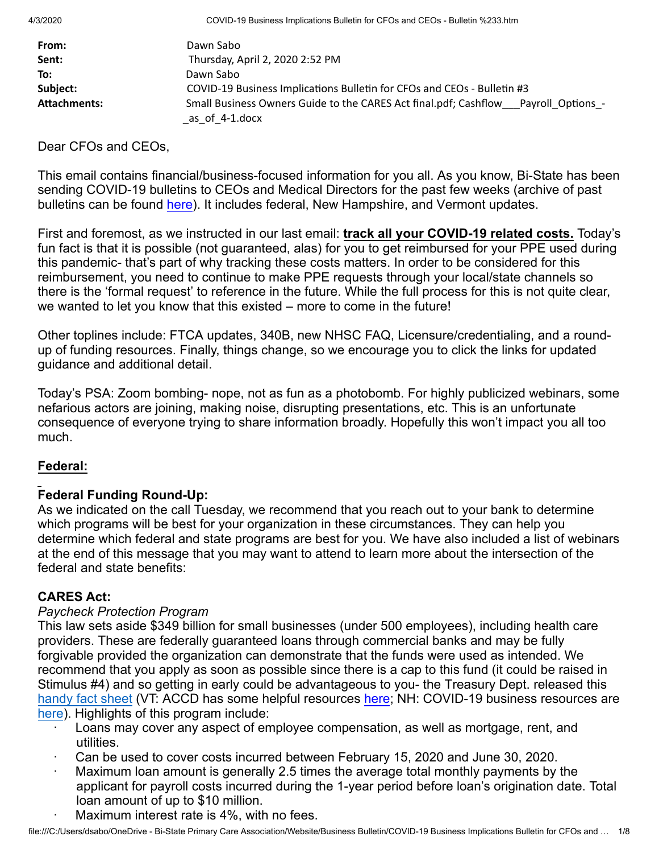| From:        | Dawn Sabo                                                                                            |
|--------------|------------------------------------------------------------------------------------------------------|
| Sent:        | Thursday, April 2, 2020 2:52 PM                                                                      |
| To:          | Dawn Sabo                                                                                            |
| Subject:     | COVID-19 Business Implications Bulletin for CFOs and CEOs - Bulletin #3                              |
| Attachments: | Small Business Owners Guide to the CARES Act final.pdf; Cashflow Payroll Options -<br>as of 4-1.docx |

Dear CFOs and CEOs,

This email contains financial/business-focused information for you all. As you know, Bi-State has been sending COVID-19 bulletins to CEOs and Medical Directors for the past few weeks (archive of past bulletins can be found [here](https://bistatepca.org/health-center-resources/covid-bulletins-resources/bi-state-covid-19-bulletins)). It includes federal, New Hampshire, and Vermont updates.

First and foremost, as we instructed in our last email: **track all your COVID-19 related costs.** Today's fun fact is that it is possible (not guaranteed, alas) for you to get reimbursed for your PPE used during this pandemic- that's part of why tracking these costs matters. In order to be considered for this reimbursement, you need to continue to make PPE requests through your local/state channels so there is the 'formal request' to reference in the future. While the full process for this is not quite clear, we wanted to let you know that this existed – more to come in the future!

Other toplines include: FTCA updates, 340B, new NHSC FAQ, Licensure/credentialing, and a roundup of funding resources. Finally, things change, so we encourage you to click the links for updated guidance and additional detail.

Today's PSA: Zoom bombing- nope, not as fun as a photobomb. For highly publicized webinars, some nefarious actors are joining, making noise, disrupting presentations, etc. This is an unfortunate consequence of everyone trying to share information broadly. Hopefully this won't impact you all too much.

# **Federal:**

# **Federal Funding Round-Up:**

As we indicated on the call Tuesday, we recommend that you reach out to your bank to determine which programs will be best for your organization in these circumstances. They can help you determine which federal and state programs are best for you. We have also included a list of webinars at the end of this message that you may want to attend to learn more about the intersection of the federal and state benefits:

# **CARES Act:**

## *Paycheck Protection Program*

This law sets aside \$349 billion for small businesses (under 500 employees), including health care providers. These are federally guaranteed loans through commercial banks and may be fully forgivable provided the organization can demonstrate that the funds were used as intended. We recommend that you apply as soon as possible since there is a cap to this fund (it could be raised in Stimulus #4) and so getting in early could be advantageous to you- the Treasury Dept. released this [handy fact sheet](https://home.treasury.gov/system/files/136/PPP--Fact-Sheet.pdf) (VT: ACCD has some helpful resources [here;](https://accd.vermont.gov/covid-19-guidance) NH: COVID-19 business resources are [here](https://businesshelp.nheconomy.com/hc/en-us)). Highlights of this program include:

- Loans may cover any aspect of employee compensation, as well as mortgage, rent, and utilities.
- · Can be used to cover costs incurred between February 15, 2020 and June 30, 2020.
- Maximum loan amount is generally 2.5 times the average total monthly payments by the applicant for payroll costs incurred during the 1-year period before loan's origination date. Total loan amount of up to \$10 million.
- Maximum interest rate is 4%, with no fees.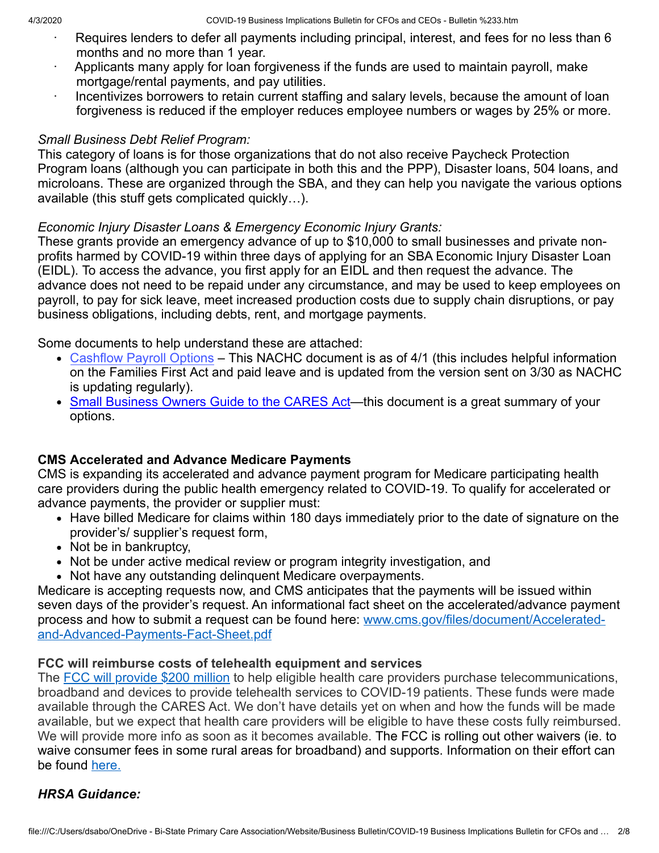- Requires lenders to defer all payments including principal, interest, and fees for no less than 6 months and no more than 1 year.
- Applicants many apply for loan forgiveness if the funds are used to maintain payroll, make mortgage/rental payments, and pay utilities.
- Incentivizes borrowers to retain current staffing and salary levels, because the amount of loan forgiveness is reduced if the employer reduces employee numbers or wages by 25% or more.

#### *Small Business Debt Relief Program:*

This category of loans is for those organizations that do not also receive Paycheck Protection Program loans (although you can participate in both this and the PPP), Disaster loans, 504 loans, and microloans. These are organized through the SBA, and they can help you navigate the various options available (this stuff gets complicated quickly…).

## *Economic Injury Disaster Loans & Emergency Economic Injury Grants:*

These grants provide an emergency advance of up to \$10,000 to small businesses and private nonprofits harmed by COVID-19 within three days of applying for an SBA Economic Injury Disaster Loan (EIDL). To access the advance, you first apply for an EIDL and then request the advance. The advance does not need to be repaid under any circumstance, and may be used to keep employees on payroll, to pay for sick leave, meet increased production costs due to supply chain disruptions, or pay business obligations, including debts, rent, and mortgage payments.

Some documents to help understand these are attached:

- [Cashflow Payroll Options](https://www.nachc.org/wp-content/uploads/2020/04/Cashflow-Payroll-Options-as-of-4-1.docx) This NACHC document is as of 4/1 (this includes helpful information on the Families First Act and paid leave and is updated from the version sent on 3/30 as NACHC is updating regularly).
- [Small Business Owners Guide to the CARES Act—](https://www.sbc.senate.gov/public/_cache/files/9/7/97ac840c-28b7-4e49-b872-d30a995d8dae/F2CF1DD78E6D6C8C8C3BF58C6D1DDB2B.small-business-owner-s-guide-to-the-cares-act-final-.pdf)this document is a great summary of your options.

## **CMS Accelerated and Advance Medicare Payments**

CMS is expanding its accelerated and advance payment program for Medicare participating health care providers during the public health emergency related to COVID-19. To qualify for accelerated or advance payments, the provider or supplier must:

- Have billed Medicare for claims within 180 days immediately prior to the date of signature on the provider's/ supplier's request form,
- Not be in bankruptcy,
- Not be under active medical review or program integrity investigation, and
- Not have any outstanding delinquent Medicare overpayments.

Medicare is accepting requests now, and CMS anticipates that the payments will be issued within seven days of the provider's request. An informational fact sheet on the accelerated/advance payment [process and how to submit a request can be found here: www.cms.gov/files/document/Accelerated](https://lnks.gd/l/eyJhbGciOiJIUzI1NiJ9.eyJidWxsZXRpbl9saW5rX2lkIjoxMDEsInVyaSI6ImJwMjpjbGljayIsImJ1bGxldGluX2lkIjoiMjAyMDAzMjguMTk0NDc2MDEiLCJ1cmwiOiJodHRwOi8vd3d3LmNtcy5nb3YvZmlsZXMvZG9jdW1lbnQvQWNjZWxlcmF0ZWQtYW5kLUFkdmFuY2VkLVBheW1lbnRzLUZhY3QtU2hlZXQucGRmIn0.YYxoeIaQwk0LQTtcjZb2dQbZiHSUkOYfuWktE06mpc4/br/76763105404-l)and-Advanced-Payments-Fact-Sheet.pdf

## **FCC will reimburse costs of telehealth equipment and services**

The [FCC will provide \\$200 million](https://docs.fcc.gov/public/attachments/DOC-363381A1.pdf) to help eligible health care providers purchase telecommunications, broadband and devices to provide telehealth services to COVID-19 patients. These funds were made available through the CARES Act. We don't have details yet on when and how the funds will be made available, but we expect that health care providers will be eligible to have these costs fully reimbursed. We will provide more info as soon as it becomes available. The FCC is rolling out other waivers (ie. to waive consumer fees in some rural areas for broadband) and supports. Information on their effort can be found [here.](https://www.fcc.gov/coronavirus)

## *HRSA Guidance:*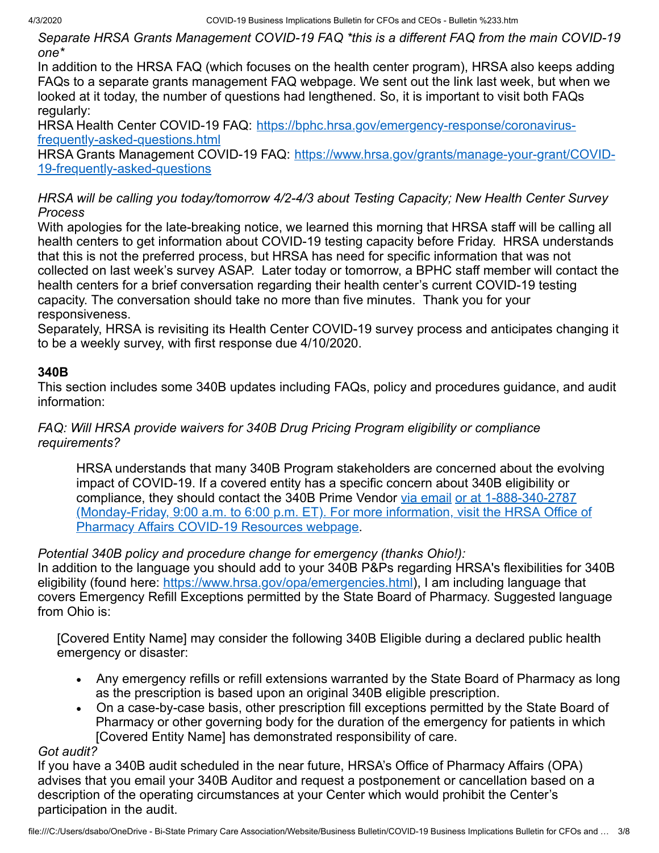*Separate HRSA Grants Management COVID-19 FAQ \*this is a different FAQ from the main COVID-19 one\**

In addition to the HRSA FAQ (which focuses on the health center program), HRSA also keeps adding FAQs to a separate grants management FAQ webpage. We sent out the link last week, but when we looked at it today, the number of questions had lengthened. So, it is important to visit both FAQs regularly:

[HRSA Health Center COVID-19 FAQ: https://bphc.hrsa.gov/emergency-response/coronavirus](https://bphc.hrsa.gov/emergency-response/coronavirus-frequently-asked-questions.html)frequently-asked-questions.html

[HRSA Grants Management COVID-19 FAQ: https://www.hrsa.gov/grants/manage-your-grant/COVID-](https://www.hrsa.gov/grants/manage-your-grant/COVID-19-frequently-asked-questions)19-frequently-asked-questions

*HRSA will be calling you today/tomorrow 4/2-4/3 about Testing Capacity; New Health Center Survey Process*

With apologies for the late-breaking notice, we learned this morning that HRSA staff will be calling all health centers to get information about COVID-19 testing capacity before Friday. HRSA understands that this is not the preferred process, but HRSA has need for specific information that was not collected on last week's survey ASAP. Later today or tomorrow, a BPHC staff member will contact the health centers for a brief conversation regarding their health center's current COVID-19 testing capacity. The conversation should take no more than five minutes. Thank you for your responsiveness.

Separately, HRSA is revisiting its Health Center COVID-19 survey process and anticipates changing it to be a weekly survey, with first response due 4/10/2020.

# **340B**

This section includes some 340B updates including FAQs, policy and procedures guidance, and audit information:

*FAQ: Will HRSA provide waivers for 340B Drug Pricing Program eligibility or compliance requirements?* 

HRSA understands that many 340B Program stakeholders are concerned about the evolving impact of COVID-19. If a covered entity has a specific concern about 340B eligibility or compliance, they should contact the 340B Prime Vendor [via email](mailto:apexusanswers@340bpvp.com) or at 1-888-340-2787 [\(Monday-Friday, 9:00 a.m. to 6:00 p.m. ET\). For more information, visit the HRSA Office of](https://www.hrsa.gov/opa/COVID-19-resources) Pharmacy Affairs COVID-19 Resources webpage.

# *Potential 340B policy and procedure change for emergency (thanks Ohio!):*

In addition to the language you should add to your 340B P&Ps regarding HRSA's flexibilities for 340B eligibility (found here: [https://www.hrsa.gov/opa/emergencies.html\)](https://www.hrsa.gov/opa/emergencies.html), I am including language that covers Emergency Refill Exceptions permitted by the State Board of Pharmacy. Suggested language from Ohio is:

[Covered Entity Name] may consider the following 340B Eligible during a declared public health emergency or disaster:

- · Any emergency refills or refill extensions warranted by the State Board of Pharmacy as long as the prescription is based upon an original 340B eligible prescription.
- · On a case-by-case basis, other prescription fill exceptions permitted by the State Board of Pharmacy or other governing body for the duration of the emergency for patients in which [Covered Entity Name] has demonstrated responsibility of care.

# *Got audit?*

If you have a 340B audit scheduled in the near future, HRSA's Office of Pharmacy Affairs (OPA) advises that you email your 340B Auditor and request a postponement or cancellation based on a description of the operating circumstances at your Center which would prohibit the Center's participation in the audit.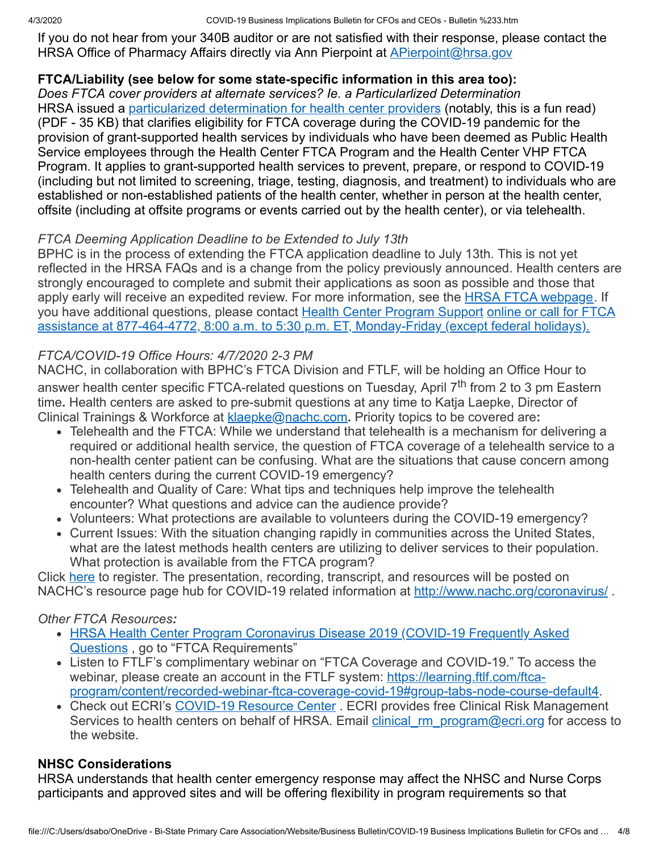If you do not hear from your 340B auditor or are not satisfied with their response, please contact the HRSA Office of Pharmacy Affairs directly via Ann Pierpoint at **[APierpoint@hrsa.gov](mailto:APierpoint@hrsa.gov)** 

# **FTCA/Liability (see below for some state-specific information in this area too):**

*Does FTCA cover providers at alternate services? Ie. a Particularlized Determination* HRSA issued a [particularized determination for health center providers](https://bphc.hrsa.gov/sites/default/files/bphc/ftca/pdf/COVID19GeneralDeterminationHC.pdf) (notably, this is a fun read) (PDF - 35 KB) that clarifies eligibility for FTCA coverage during the COVID-19 pandemic for the provision of grant-supported health services by individuals who have been deemed as Public Health Service employees through the Health Center FTCA Program and the Health Center VHP FTCA Program. It applies to grant-supported health services to prevent, prepare, or respond to COVID-19 (including but not limited to screening, triage, testing, diagnosis, and treatment) to individuals who are established or non-established patients of the health center, whether in person at the health center, offsite (including at offsite programs or events carried out by the health center), or via telehealth.

## *FTCA Deeming Application Deadline to be Extended to July 13th*

BPHC is in the process of extending the FTCA application deadline to July 13th. This is not yet reflected in the HRSA FAQs and is a change from the policy previously announced. Health centers are strongly encouraged to complete and submit their applications as soon as possible and those that apply early will receive an expedited review. For more information, see the [HRSA FTCA webpage.](https://protect-us.mimecast.com/s/sIQwCAD2lPinPX7s8zi8-) If you have additional questions, please contact [Health Center Program Support](https://protect-us.mimecast.com/s/JzD3CBB2mLtMkrEINBrjw) online or call for FTCA [assistance at 877-464-4772, 8:00 a.m. to 5:30 p.m. ET, Monday-Friday \(except federal holidays\).](https://protect-us.mimecast.com/s/ocoACDk2o9FnWzgsZiXrM)

# *FTCA/COVID-19 Office Hours: 4/7/2020 2-3 PM*

NACHC, in collaboration with BPHC's FTCA Division and FTLF, will be holding an Office Hour to answer health center specific FTCA-related questions on Tuesday, April 7<sup>th</sup> from 2 to 3 pm Eastern time**.** Health centers are asked to pre-submit questions at any time to Katja Laepke, Director of Clinical Trainings & Workforce at [klaepke@nachc.com](mailto:klaepke@nachc.com)**.** Priority topics to be covered are**:**

- Telehealth and the FTCA: While we understand that telehealth is a mechanism for delivering a required or additional health service, the question of FTCA coverage of a telehealth service to a non-health center patient can be confusing. What are the situations that cause concern among health centers during the current COVID-19 emergency?
- Telehealth and Quality of Care: What tips and techniques help improve the telehealth encounter? What questions and advice can the audience provide?
- Volunteers: What protections are available to volunteers during the COVID-19 emergency?
- Current Issues: With the situation changing rapidly in communities across the United States, what are the latest methods health centers are utilizing to deliver services to their population. What protection is available from the FTCA program?

Click [here](https://protect-us.mimecast.com/s/3UkLClYmg5IA489i9dXZp) to register. The presentation, recording, transcript, and resources will be posted on NACHC's resource page hub for COVID-19 related information at [http://www.nachc.org/coronavirus/](https://protect-us.mimecast.com/s/xuohCmZnjQtA430iB4S6u).

# *Other FTCA Resources:*

- [HRSA Health Center Program Coronavirus Disease 2019 \(COVID-19 Frequently Asked](https://protect-us.mimecast.com/s/_1PQCn5okrHKB2yiZhZTN) Questions, go to "FTCA Requirements"
- Listen to FTLF's complimentary webinar on "FTCA Coverage and COVID-19." To access the webinar, please create an account in the FTLF system: https://learning.ftlf.com/ftca[program/content/recorded-webinar-ftca-coverage-covid-19#group-tabs-node-course-default4](https://protect-us.mimecast.com/s/J3U4Co20lQtBWRouOVscG).
- Check out ECRI's [COVID-19 Resource Center](https://protect-us.mimecast.com/s/iGGtCpYqmQIv6WlI2Qlfd). ECRI provides free Clinical Risk Management Services to health centers on behalf of HRSA. Email *clinical rm\_program@ecri.org* for access to the website.

## **NHSC Considerations**

HRSA understands that health center emergency response may affect the NHSC and Nurse Corps participants and approved sites and will be offering flexibility in program requirements so that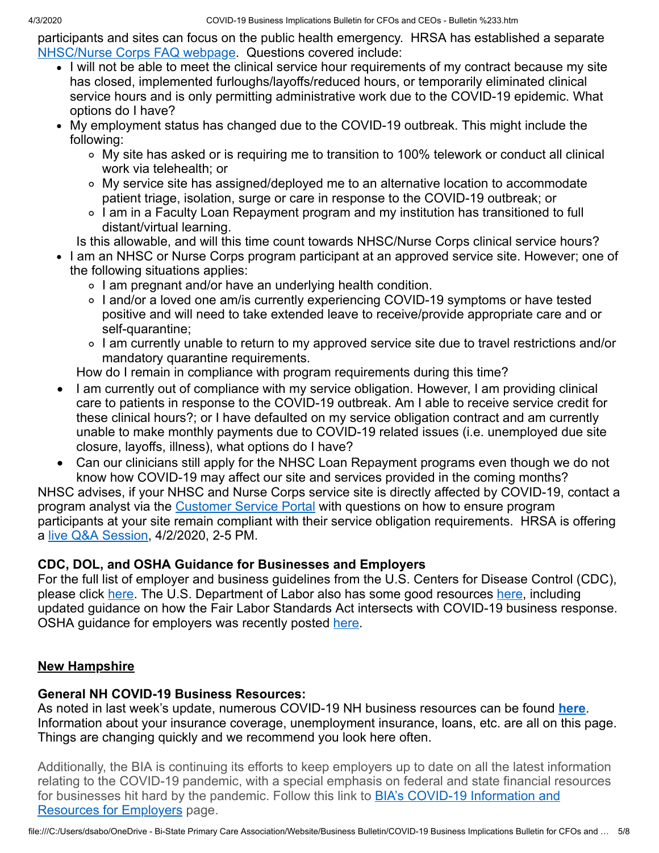participants and sites can focus on the public health emergency. HRSA has established a separate [NHSC/Nurse Corps FAQ webpage](https://nhsc.hrsa.gov/coronavirus/faqs). Questions covered include:

- I will not be able to meet the clinical service hour requirements of my contract because my site has closed, implemented furloughs/layoffs/reduced hours, or temporarily eliminated clinical service hours and is only permitting administrative work due to the COVID-19 epidemic. What options do I have?
- My employment status has changed due to the COVID-19 outbreak. This might include the following:
	- My site has asked or is requiring me to transition to 100% telework or conduct all clinical work via telehealth; or
	- My service site has assigned/deployed me to an alternative location to accommodate patient triage, isolation, surge or care in response to the COVID-19 outbreak; or
	- I am in a Faculty Loan Repayment program and my institution has transitioned to full distant/virtual learning.

Is this allowable, and will this time count towards NHSC/Nurse Corps clinical service hours?

- I am an NHSC or Nurse Corps program participant at an approved service site. However; one of the following situations applies:
	- I am pregnant and/or have an underlying health condition.
	- ∘ I and/or a loved one am/is currently experiencing COVID-19 symptoms or have tested positive and will need to take extended leave to receive/provide appropriate care and or self-quarantine;
	- I am currently unable to return to my approved service site due to travel restrictions and/or mandatory quarantine requirements.

How do I remain in compliance with program requirements during this time?

- I am currently out of compliance with my service obligation. However, I am providing clinical care to patients in response to the COVID-19 outbreak. Am I able to receive service credit for these clinical hours?; or I have defaulted on my service obligation contract and am currently unable to make monthly payments due to COVID-19 related issues (i.e. unemployed due site closure, layoffs, illness), what options do I have?
- Can our clinicians still apply for the NHSC Loan Repayment programs even though we do not know how COVID-19 may affect our site and services provided in the coming months?

NHSC advises, if your NHSC and Nurse Corps service site is directly affected by COVID-19, contact a program analyst via the [Customer Service Portal](https://programportal.hrsa.gov/extranet/landing.seam) with questions on how to ensure program participants at your site remain compliant with their service obligation requirements. HRSA is offering a [live Q&A Session,](https://nhsc.hrsa.gov/coronavirus/faqs) 4/2/2020, 2-5 PM.

# **CDC, DOL, and OSHA Guidance for Businesses and Employers**

For the full list of employer and business guidelines from the U.S. Centers for Disease Control (CDC), please click [here](https://www.cdc.gov/coronavirus/2019-ncov/specific-groups/guidance-business-response.html). The U.S. Department of Labor also has some good resources [here,](https://www.dol.gov/coronavirus) including updated guidance on how the Fair Labor Standards Act intersects with COVID-19 business response. OSHA guidance for employers was recently posted [here.](https://www.osha.gov/Publications/OSHA3990.pdf)

# **New Hampshire**

# **General NH COVID-19 Business Resources:**

As noted in last week's update, numerous COVID-19 NH business resources can be found **[here](https://www.nheconomy.com/covid19)**. Information about your insurance coverage, unemployment insurance, loans, etc. are all on this page. Things are changing quickly and we recommend you look here often.

Additionally, the BIA is continuing its efforts to keep employers up to date on all the latest information relating to the COVID-19 pandemic, with a special emphasis on federal and state financial resources for businesses hit hard by the pandemic. Follow this link to **BIA's COVID-19 Information and Resources for Employers page.**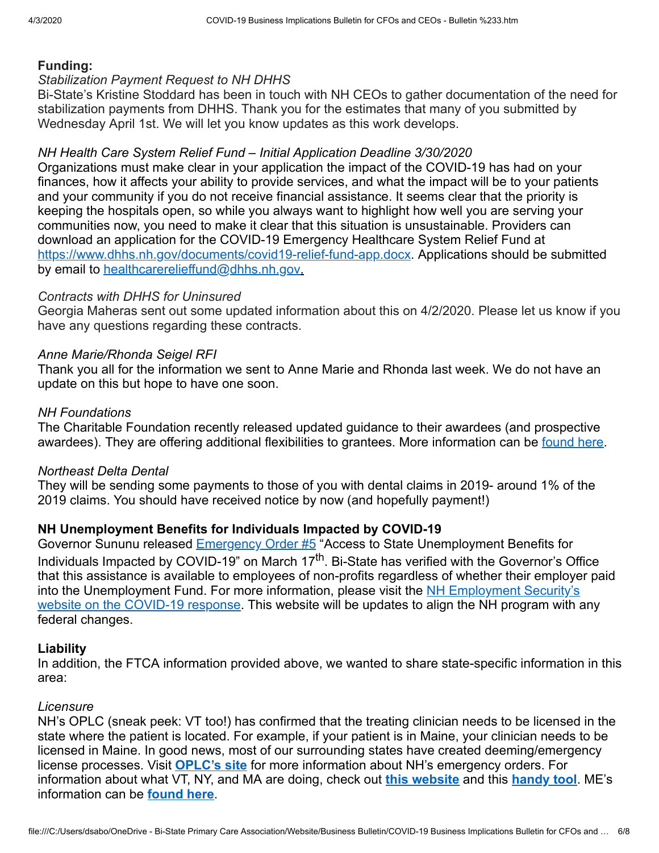#### **Funding:**

#### *Stabilization Payment Request to NH DHHS*

Bi-State's Kristine Stoddard has been in touch with NH CEOs to gather documentation of the need for stabilization payments from DHHS. Thank you for the estimates that many of you submitted by Wednesday April 1st. We will let you know updates as this work develops.

#### *NH Health Care System Relief Fund – Initial Application Deadline 3/30/2020*

Organizations must make clear in your application the impact of the COVID-19 has had on your finances, how it affects your ability to provide services, and what the impact will be to your patients and your community if you do not receive financial assistance. It seems clear that the priority is keeping the hospitals open, so while you always want to highlight how well you are serving your communities now, you need to make it clear that this situation is unsustainable. Providers can download an application for the COVID-19 Emergency Healthcare System Relief Fund at [https://www.dhhs.nh.gov/documents/covid19-relief-fund-app.docx.](https://www.dhhs.nh.gov/documents/covid19-relief-fund-app.docx) Applications should be submitted by email to [healthcarerelieffund@dhhs.nh.gov](mailto:healthcarerelieffund@dhhs.nh.gov).

#### *Contracts with DHHS for Uninsured*

Georgia Maheras sent out some updated information about this on 4/2/2020. Please let us know if you have any questions regarding these contracts.

#### *Anne Marie/Rhonda Seigel RFI*

Thank you all for the information we sent to Anne Marie and Rhonda last week. We do not have an update on this but hope to have one soon.

#### *NH Foundations*

The Charitable Foundation recently released updated guidance to their awardees (and prospective awardees). They are offering additional flexibilities to grantees. More information can be [found here](https://www.nhcf.org/about-us/covid-19-response/).

#### *Northeast Delta Dental*

They will be sending some payments to those of you with dental claims in 2019- around 1% of the 2019 claims. You should have received notice by now (and hopefully payment!)

#### **NH Unemployment Benefits for Individuals Impacted by COVID-19**

Governor Sununu released **Emergency Order #5** "Access to State Unemployment Benefits for Individuals Impacted by COVID-19" on March 17<sup>th</sup>. Bi-State has verified with the Governor's Office that this assistance is available to employees of non-profits regardless of whether their employer paid [into the Unemployment Fund. For more information, please visit the NH Employment Security's](https://www.nhes.nh.gov/) website on the COVID-19 response. This website will be updates to align the NH program with any federal changes.

#### **Liability**

In addition, the FTCA information provided above, we wanted to share state-specific information in this area:

#### *Licensure*

NH's OPLC (sneak peek: VT too!) has confirmed that the treating clinician needs to be licensed in the state where the patient is located. For example, if your patient is in Maine, your clinician needs to be licensed in Maine. In good news, most of our surrounding states have created deeming/emergency license processes. Visit **[OPLC's site](https://www.oplc.nh.gov/covid-19/index.htm)** for more information about NH's emergency orders. For information about what VT, NY, and MA are doing, check out **[this website](https://www.healthvermont.gov/health-professionals-systems/board-medical-practice/COVID19)** and this **[handy tool](http://www.vtmd.org/sites/default/files/VT%20Licensure%20COVID%2019%203%2024%2020%20v3.pdf)**. ME's information can be **[found here](https://www.maine.gov/md/covid-19)**.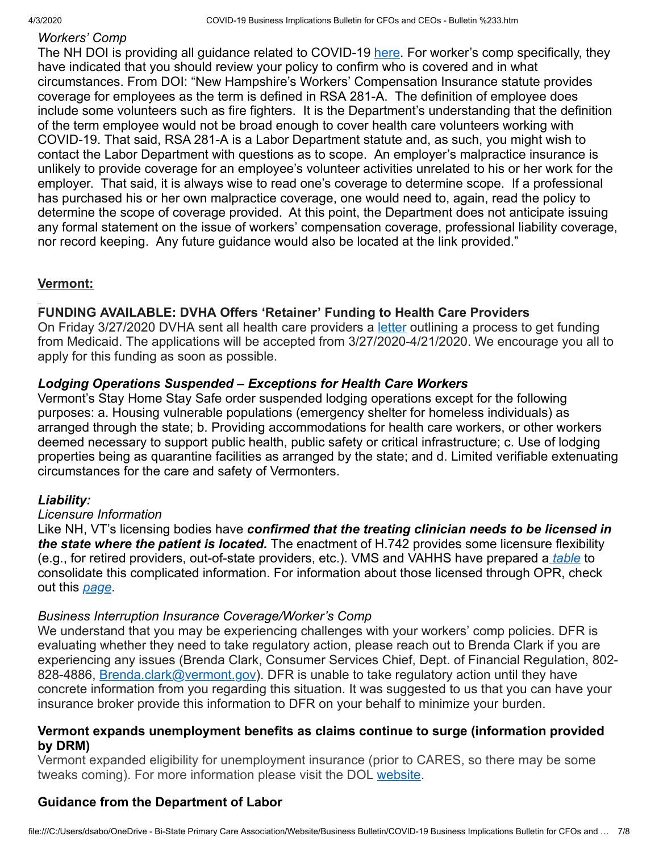# *Workers' Comp*

The NH DOI is providing all guidance related to COVID-19 [here.](https://www.nh.gov/insurance/media/bulletins/2020/index.htm) For worker's comp specifically, they have indicated that you should review your policy to confirm who is covered and in what circumstances. From DOI: "New Hampshire's Workers' Compensation Insurance statute provides coverage for employees as the term is defined in RSA 281-A. The definition of employee does include some volunteers such as fire fighters. It is the Department's understanding that the definition of the term employee would not be broad enough to cover health care volunteers working with COVID-19. That said, RSA 281-A is a Labor Department statute and, as such, you might wish to contact the Labor Department with questions as to scope. An employer's malpractice insurance is unlikely to provide coverage for an employee's volunteer activities unrelated to his or her work for the employer. That said, it is always wise to read one's coverage to determine scope. If a professional has purchased his or her own malpractice coverage, one would need to, again, read the policy to determine the scope of coverage provided. At this point, the Department does not anticipate issuing any formal statement on the issue of workers' compensation coverage, professional liability coverage, nor record keeping. Any future guidance would also be located at the link provided."

## **Vermont:**

## **FUNDING AVAILABLE: DVHA Offers 'Retainer' Funding to Health Care Providers**

On Friday 3/27/2020 DVHA sent all health care providers a [letter](https://dvha.vermont.gov/sites/dvha/files/documents/News/COVID-19%20Medicaid%20Retainer%20%26%20Process%2003.27.2020.pdf) outlining a process to get funding from Medicaid. The applications will be accepted from 3/27/2020-4/21/2020. We encourage you all to apply for this funding as soon as possible.

## *Lodging Operations Suspended – Exceptions for Health Care Workers*

Vermont's Stay Home Stay Safe order suspended lodging operations except for the following purposes: a. Housing vulnerable populations (emergency shelter for homeless individuals) as arranged through the state; b. Providing accommodations for health care workers, or other workers deemed necessary to support public health, public safety or critical infrastructure; c. Use of lodging properties being as quarantine facilities as arranged by the state; and d. Limited verifiable extenuating circumstances for the care and safety of Vermonters.

## *Liability:*

## *Licensure Information*

Like NH, VT's licensing bodies have *confirmed that the treating clinician needs to be licensed in the state where the patient is located.* The enactment of H.742 provides some licensure flexibility (e.g., for retired providers, out-of-state providers, etc.). VMS and VAHHS have prepared a *[table](http://www.vtmd.org/sites/default/files/VT%20Licensure%20COVID%2019%203%2024%2020%20v3.pdf)* to consolidate this complicated information. For information about those licensed through OPR, check out this *[page](https://sos.vermont.gov/opr/about-opr/covid-19-response/out-of-state-licensees-temporary-licensees-telehealth/)*.

## *Business Interruption Insurance Coverage/Worker's Comp*

We understand that you may be experiencing challenges with your workers' comp policies. DFR is evaluating whether they need to take regulatory action, please reach out to Brenda Clark if you are experiencing any issues (Brenda Clark, Consumer Services Chief, Dept. of Financial Regulation, 802- 828-4886, [Brenda.clark@vermont.gov\)](mailto:Brenda.clark@vermont.gov). DFR is unable to take regulatory action until they have concrete information from you regarding this situation. It was suggested to us that you can have your insurance broker provide this information to DFR on your behalf to minimize your burden.

#### **Vermont expands unemployment benefits as claims continue to surge (information provided by DRM)**

Vermont expanded eligibility for unemployment insurance (prior to CARES, so there may be some tweaks coming). For more information please visit the DOL [website](https://labor.vermont.gov/covid19).

# **Guidance from the Department of Labor**